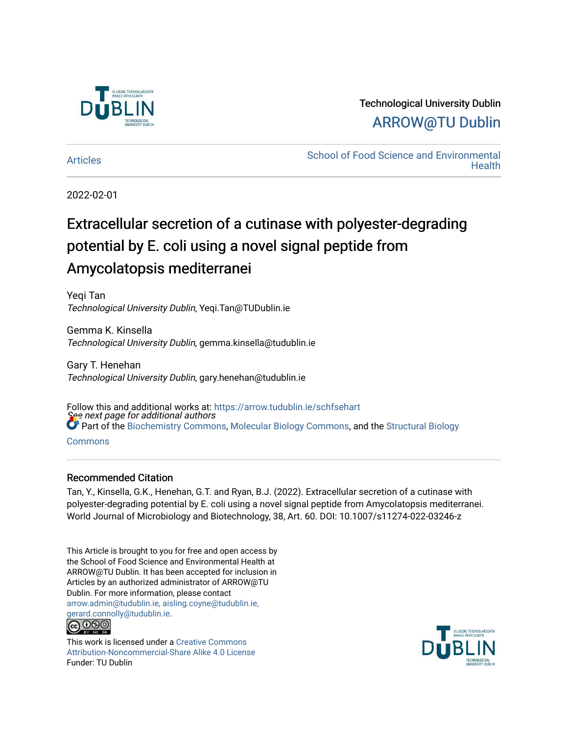

## Technological University Dublin [ARROW@TU Dublin](https://arrow.tudublin.ie/)

[Articles](https://arrow.tudublin.ie/schfsehart) **School of Food Science and Environmental Health** 

2022-02-01

# Extracellular secretion of a cutinase with polyester-degrading potential by E. coli using a novel signal peptide from Amycolatopsis mediterranei

Yeqi Tan Technological University Dublin, Yeqi.Tan@TUDublin.ie

Gemma K. Kinsella Technological University Dublin, gemma.kinsella@tudublin.ie

Gary T. Henehan Technological University Dublin, gary.henehan@tudublin.ie

See next page for additional authors Follow this and additional works at: [https://arrow.tudublin.ie/schfsehart](https://arrow.tudublin.ie/schfsehart?utm_source=arrow.tudublin.ie%2Fschfsehart%2F477&utm_medium=PDF&utm_campaign=PDFCoverPages)  Part of the [Biochemistry Commons](http://network.bepress.com/hgg/discipline/2?utm_source=arrow.tudublin.ie%2Fschfsehart%2F477&utm_medium=PDF&utm_campaign=PDFCoverPages), [Molecular Biology Commons,](http://network.bepress.com/hgg/discipline/5?utm_source=arrow.tudublin.ie%2Fschfsehart%2F477&utm_medium=PDF&utm_campaign=PDFCoverPages) and the [Structural Biology](http://network.bepress.com/hgg/discipline/6?utm_source=arrow.tudublin.ie%2Fschfsehart%2F477&utm_medium=PDF&utm_campaign=PDFCoverPages)

[Commons](http://network.bepress.com/hgg/discipline/6?utm_source=arrow.tudublin.ie%2Fschfsehart%2F477&utm_medium=PDF&utm_campaign=PDFCoverPages)

#### Recommended Citation

Tan, Y., Kinsella, G.K., Henehan, G.T. and Ryan, B.J. (2022). Extracellular secretion of a cutinase with polyester-degrading potential by E. coli using a novel signal peptide from Amycolatopsis mediterranei. World Journal of Microbiology and Biotechnology, 38, Art. 60. DOI: 10.1007/s11274-022-03246-z

This Article is brought to you for free and open access by the School of Food Science and Environmental Health at ARROW@TU Dublin. It has been accepted for inclusion in Articles by an authorized administrator of ARROW@TU Dublin. For more information, please contact [arrow.admin@tudublin.ie, aisling.coyne@tudublin.ie,](mailto:arrow.admin@tudublin.ie,%20aisling.coyne@tudublin.ie,%20gerard.connolly@tudublin.ie)  [gerard.connolly@tudublin.ie](mailto:arrow.admin@tudublin.ie,%20aisling.coyne@tudublin.ie,%20gerard.connolly@tudublin.ie).



This work is licensed under a [Creative Commons](http://creativecommons.org/licenses/by-nc-sa/4.0/) [Attribution-Noncommercial-Share Alike 4.0 License](http://creativecommons.org/licenses/by-nc-sa/4.0/) Funder: TU Dublin

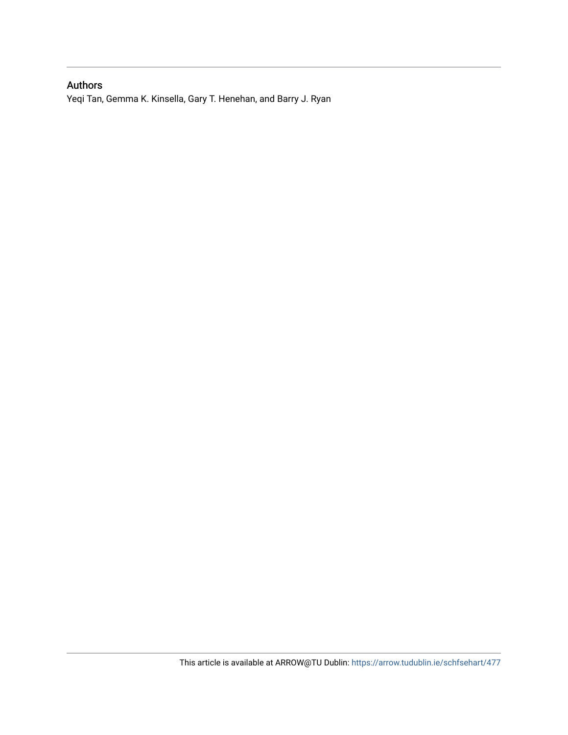#### Authors

Yeqi Tan, Gemma K. Kinsella, Gary T. Henehan, and Barry J. Ryan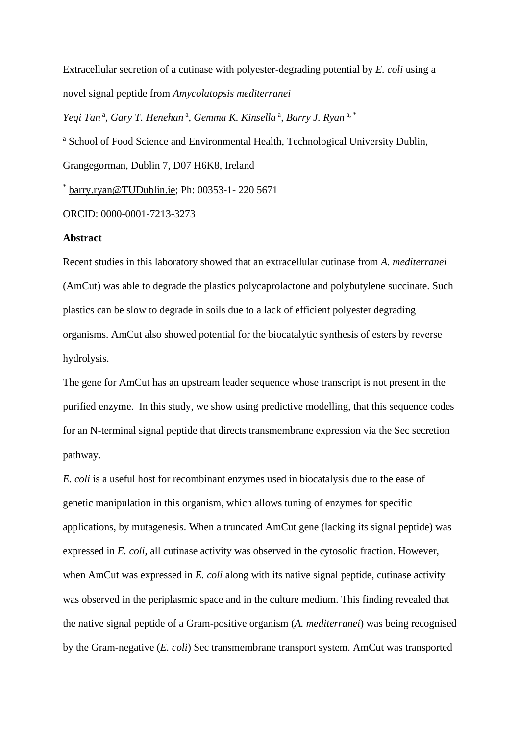Extracellular secretion of a cutinase with polyester-degrading potential by *E. coli* using a novel signal peptide from *Amycolatopsis mediterranei*

Yeqi Tan<sup>a</sup>, Gary T. Henehan<sup>a</sup>, Gemma K. Kinsella<sup>a</sup>, Barry J. Ryan<sup>a,\*</sup>

<sup>a</sup> School of Food Science and Environmental Health, Technological University Dublin,

Grangegorman, Dublin 7, D07 H6K8, Ireland

\* [barry.ryan@TUDublin.ie;](mailto:barry.ryan@TUDublin.ie) Ph: 00353-1- 220 5671

ORCID: 0000-0001-7213-3273

#### **Abstract**

Recent studies in this laboratory showed that an extracellular cutinase from *A. mediterranei*  (AmCut) was able to degrade the plastics polycaprolactone and polybutylene succinate. Such plastics can be slow to degrade in soils due to a lack of efficient polyester degrading organisms. AmCut also showed potential for the biocatalytic synthesis of esters by reverse hydrolysis.

The gene for AmCut has an upstream leader sequence whose transcript is not present in the purified enzyme. In this study, we show using predictive modelling, that this sequence codes for an N-terminal signal peptide that directs transmembrane expression via the Sec secretion pathway.

*E. coli* is a useful host for recombinant enzymes used in biocatalysis due to the ease of genetic manipulation in this organism, which allows tuning of enzymes for specific applications, by mutagenesis. When a truncated AmCut gene (lacking its signal peptide) was expressed in *E. coli*, all cutinase activity was observed in the cytosolic fraction. However, when AmCut was expressed in *E. coli* along with its native signal peptide, cutinase activity was observed in the periplasmic space and in the culture medium. This finding revealed that the native signal peptide of a Gram-positive organism (*A. mediterranei*) was being recognised by the Gram-negative (*E. coli*) Sec transmembrane transport system. AmCut was transported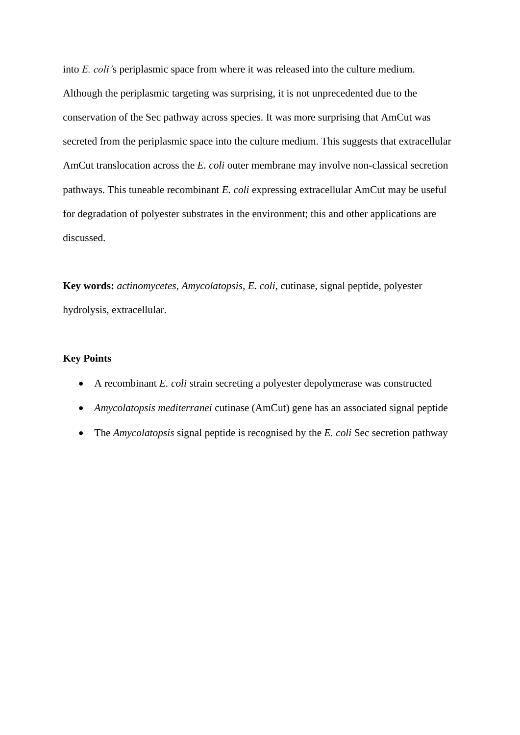into *E. coli'*s periplasmic space from where it was released into the culture medium. Although the periplasmic targeting was surprising, it is not unprecedented due to the conservation of the Sec pathway across species. It was more surprising that AmCut was secreted from the periplasmic space into the culture medium. This suggests that extracellular AmCut translocation across the *E. coli* outer membrane may involve non-classical secretion pathways. This tuneable recombinant *E. coli* expressing extracellular AmCut may be useful for degradation of polyester substrates in the environment; this and other applications are discussed.

**Key words:** *actinomycetes, Amycolatopsis, E. coli,* cutinase, signal peptide, polyester hydrolysis, extracellular.

#### **Key Points**

- A recombinant *E. coli* strain secreting a polyester depolymerase was constructed
- *Amycolatopsis mediterranei* cutinase (AmCut) gene has an associated signal peptide
- The *Amycolatopsis* signal peptide is recognised by the *E. coli* Sec secretion pathway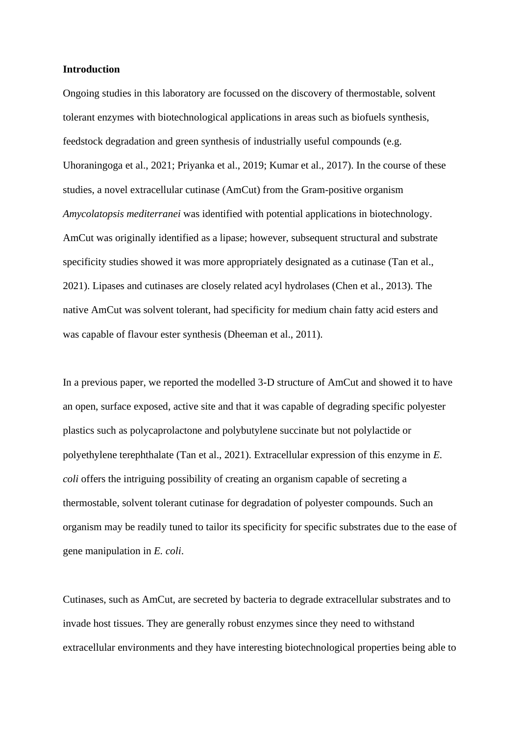#### **Introduction**

Ongoing studies in this laboratory are focussed on the discovery of thermostable, solvent tolerant enzymes with biotechnological applications in areas such as biofuels synthesis, feedstock degradation and green synthesis of industrially useful compounds (e.g. Uhoraningoga et al., 2021; Priyanka et al., 2019; Kumar et al., 2017). In the course of these studies, a novel extracellular cutinase (AmCut) from the Gram-positive organism *Amycolatopsis mediterranei* was identified with potential applications in biotechnology. AmCut was originally identified as a lipase; however, subsequent structural and substrate specificity studies showed it was more appropriately designated as a cutinase (Tan et al., 2021). Lipases and cutinases are closely related acyl hydrolases (Chen et al., 2013). The native AmCut was solvent tolerant, had specificity for medium chain fatty acid esters and was capable of flavour ester synthesis (Dheeman et al., 2011).

In a previous paper, we reported the modelled 3-D structure of AmCut and showed it to have an open, surface exposed, active site and that it was capable of degrading specific polyester plastics such as polycaprolactone and polybutylene succinate but not polylactide or polyethylene terephthalate (Tan et al., 2021). Extracellular expression of this enzyme in *E. coli* offers the intriguing possibility of creating an organism capable of secreting a thermostable, solvent tolerant cutinase for degradation of polyester compounds. Such an organism may be readily tuned to tailor its specificity for specific substrates due to the ease of gene manipulation in *E. coli*.

Cutinases, such as AmCut, are secreted by bacteria to degrade extracellular substrates and to invade host tissues. They are generally robust enzymes since they need to withstand extracellular environments and they have interesting biotechnological properties being able to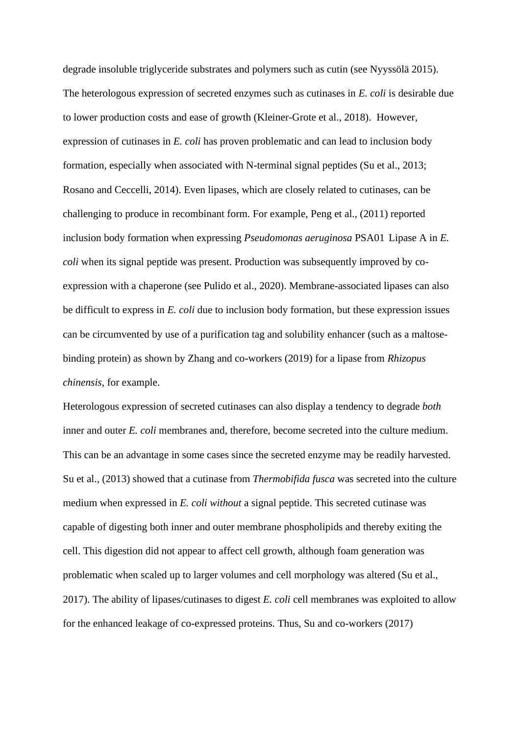degrade insoluble triglyceride substrates and polymers such as cutin (see Nyyssölä 2015). The heterologous expression of secreted enzymes such as cutinases in *E. coli* is desirable due to lower production costs and ease of growth (Kleiner-Grote et al., 2018). However, expression of cutinases in *E. coli* has proven problematic and can lead to inclusion body formation, especially when associated with N-terminal signal peptides (Su et al., 2013; Rosano and Ceccelli, 2014). Even lipases, which are closely related to cutinases, can be challenging to produce in recombinant form. For example, Peng et al., (2011) reported inclusion body formation when expressing *Pseudomonas aeruginosa* PSA01 Lipase A in *E. coli* when its signal peptide was present. Production was subsequently improved by coexpression with a chaperone (see Pulido et al., 2020). Membrane-associated lipases can also be difficult to express in *E. coli* due to inclusion body formation, but these expression issues can be circumvented by use of a purification tag and solubility enhancer (such as a maltosebinding protein) as shown by Zhang and co-workers (2019) for a lipase from *Rhizopus chinensis*, for example.

Heterologous expression of secreted cutinases can also display a tendency to degrade *both* inner and outer *E. coli* membranes and, therefore, become secreted into the culture medium. This can be an advantage in some cases since the secreted enzyme may be readily harvested. Su et al., (2013) showed that a cutinase from *Thermobifida fusca* was secreted into the culture medium when expressed in *E. coli without* a signal peptide. This secreted cutinase was capable of digesting both inner and outer membrane phospholipids and thereby exiting the cell. This digestion did not appear to affect cell growth, although foam generation was problematic when scaled up to larger volumes and cell morphology was altered (Su et al., 2017). The ability of lipases/cutinases to digest *E. coli* cell membranes was exploited to allow for the enhanced leakage of co-expressed proteins. Thus, Su and co-workers (2017)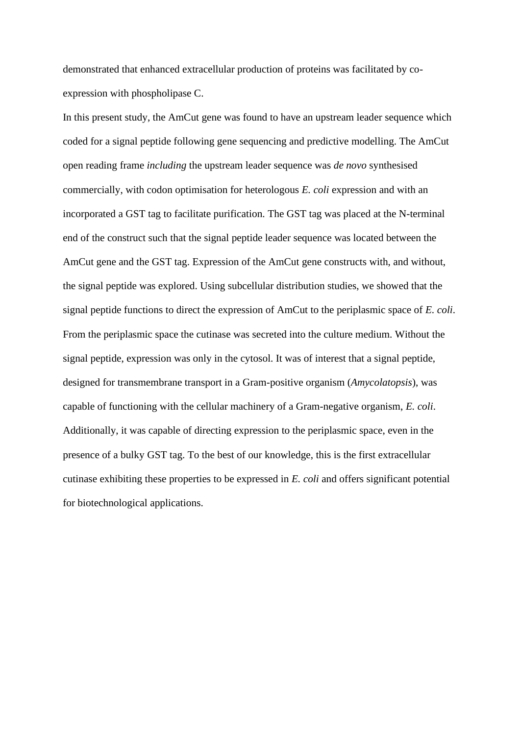demonstrated that enhanced extracellular production of proteins was facilitated by coexpression with phospholipase C.

In this present study, the AmCut gene was found to have an upstream leader sequence which coded for a signal peptide following gene sequencing and predictive modelling. The AmCut open reading frame *including* the upstream leader sequence was *de novo* synthesised commercially, with codon optimisation for heterologous *E. coli* expression and with an incorporated a GST tag to facilitate purification. The GST tag was placed at the N-terminal end of the construct such that the signal peptide leader sequence was located between the AmCut gene and the GST tag. Expression of the AmCut gene constructs with, and without, the signal peptide was explored. Using subcellular distribution studies, we showed that the signal peptide functions to direct the expression of AmCut to the periplasmic space of *E. coli*. From the periplasmic space the cutinase was secreted into the culture medium. Without the signal peptide, expression was only in the cytosol. It was of interest that a signal peptide, designed for transmembrane transport in a Gram-positive organism (*Amycolatopsis*), was capable of functioning with the cellular machinery of a Gram-negative organism, *E. coli*. Additionally, it was capable of directing expression to the periplasmic space, even in the presence of a bulky GST tag. To the best of our knowledge, this is the first extracellular cutinase exhibiting these properties to be expressed in *E. coli* and offers significant potential for biotechnological applications.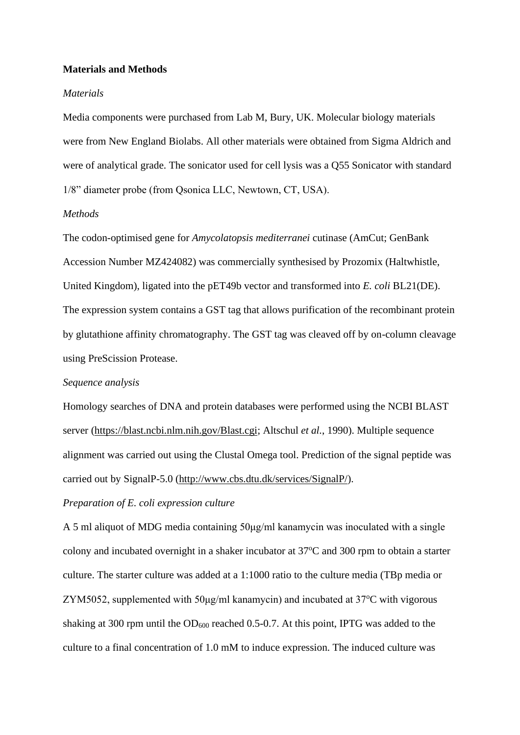#### **Materials and Methods**

#### *Materials*

Media components were purchased from Lab M, Bury, UK. Molecular biology materials were from New England Biolabs. All other materials were obtained from Sigma Aldrich and were of analytical grade. The sonicator used for cell lysis was a Q55 Sonicator with standard 1/8" diameter probe (from Qsonica LLC, Newtown, CT, USA).

#### *Methods*

The codon-optimised gene for *Amycolatopsis mediterranei* cutinase (AmCut; GenBank Accession Number MZ424082) was commercially synthesised by Prozomix (Haltwhistle, United Kingdom), ligated into the pET49b vector and transformed into *E. coli* BL21(DE). The expression system contains a GST tag that allows purification of the recombinant protein by glutathione affinity chromatography. The GST tag was cleaved off by on-column cleavage using PreScission Protease.

#### *Sequence analysis*

Homology searches of DNA and protein databases were performed using the NCBI BLAST server [\(https://blast.ncbi.nlm.nih.gov/Blast.cgi;](https://blast.ncbi.nlm.nih.gov/Blast.cgi) Altschul *et al.*, 1990). Multiple sequence alignment was carried out using the Clustal Omega tool. Prediction of the signal peptide was carried out by SignalP-5.0 [\(http://www.cbs.dtu.dk/services/SignalP/\)](http://www.cbs.dtu.dk/services/SignalP/).

#### *Preparation of E. coli expression culture*

A 5 ml aliquot of MDG media containing 50μg/ml kanamycin was inoculated with a single colony and incubated overnight in a shaker incubator at  $37^{\circ}$ C and 300 rpm to obtain a starter culture. The starter culture was added at a 1:1000 ratio to the culture media (TBp media or ZYM5052, supplemented with  $50\mu g/ml$  kanamycin) and incubated at  $37^{\circ}$ C with vigorous shaking at 300 rpm until the  $OD_{600}$  reached 0.5-0.7. At this point, IPTG was added to the culture to a final concentration of 1.0 mM to induce expression. The induced culture was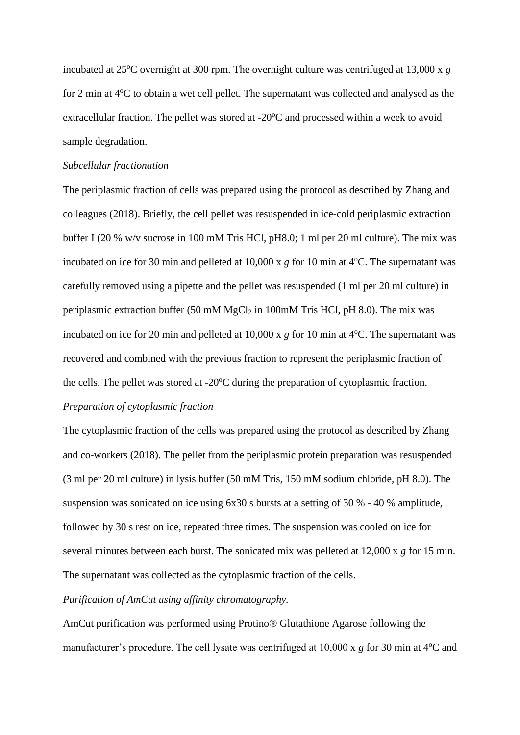incubated at  $25^{\circ}$ C overnight at 300 rpm. The overnight culture was centrifuged at 13,000 x  $g$ for 2 min at  $4^{\circ}$ C to obtain a wet cell pellet. The supernatant was collected and analysed as the extracellular fraction. The pellet was stored at  $-20^{\circ}$ C and processed within a week to avoid sample degradation.

#### *Subcellular fractionation*

The periplasmic fraction of cells was prepared using the protocol as described by Zhang and colleagues (2018). Briefly, the cell pellet was resuspended in ice-cold periplasmic extraction buffer I (20 % w/v sucrose in 100 mM Tris HCl, pH8.0; 1 ml per 20 ml culture). The mix was incubated on ice for 30 min and pelleted at  $10,000 \times g$  for 10 min at 4<sup>o</sup>C. The supernatant was carefully removed using a pipette and the pellet was resuspended (1 ml per 20 ml culture) in periplasmic extraction buffer (50 mM  $MgCl<sub>2</sub>$  in 100mM Tris HCl, pH 8.0). The mix was incubated on ice for 20 min and pelleted at  $10,000 \times g$  for 10 min at  $4^{\circ}$ C. The supernatant was recovered and combined with the previous fraction to represent the periplasmic fraction of the cells. The pellet was stored at  $-20^{\circ}$ C during the preparation of cytoplasmic fraction.

#### *Preparation of cytoplasmic fraction*

The cytoplasmic fraction of the cells was prepared using the protocol as described by Zhang and co-workers (2018). The pellet from the periplasmic protein preparation was resuspended (3 ml per 20 ml culture) in lysis buffer (50 mM Tris, 150 mM sodium chloride, pH 8.0). The suspension was sonicated on ice using 6x30 s bursts at a setting of 30 % - 40 % amplitude, followed by 30 s rest on ice, repeated three times. The suspension was cooled on ice for several minutes between each burst. The sonicated mix was pelleted at 12,000 x *g* for 15 min. The supernatant was collected as the cytoplasmic fraction of the cells.

#### *Purification of AmCut using affinity chromatography.*

AmCut purification was performed using Protino® Glutathione Agarose following the manufacturer's procedure. The cell lysate was centrifuged at 10,000 x *g* for 30 min at 4<sup>o</sup>C and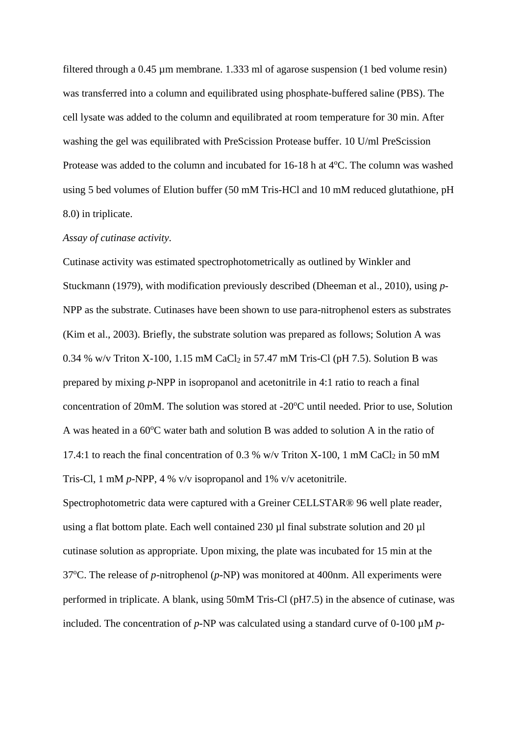filtered through a 0.45 µm membrane. 1.333 ml of agarose suspension (1 bed volume resin) was transferred into a column and equilibrated using phosphate-buffered saline (PBS). The cell lysate was added to the column and equilibrated at room temperature for 30 min. After washing the gel was equilibrated with PreScission Protease buffer. 10 U/ml PreScission Protease was added to the column and incubated for 16-18 h at 4°C. The column was washed using 5 bed volumes of Elution buffer (50 mM Tris-HCl and 10 mM reduced glutathione, pH 8.0) in triplicate.

#### *Assay of cutinase activity.*

Cutinase activity was estimated spectrophotometrically as outlined by Winkler and Stuckmann (1979), with modification previously described (Dheeman et al., 2010), using *p*-NPP as the substrate. Cutinases have been shown to use para-nitrophenol esters as substrates (Kim et al., 2003). Briefly, the substrate solution was prepared as follows; Solution A was 0.34 % w/v Triton X-100, 1.15 mM CaCl<sub>2</sub> in 57.47 mM Tris-Cl (pH 7.5). Solution B was prepared by mixing *p-*NPP in isopropanol and acetonitrile in 4:1 ratio to reach a final concentration of 20mM. The solution was stored at  $-20^{\circ}$ C until needed. Prior to use, Solution A was heated in a  $60^{\circ}$ C water bath and solution B was added to solution A in the ratio of 17.4:1 to reach the final concentration of 0.3 % w/v Triton X-100, 1 mM CaCl<sub>2</sub> in 50 mM Tris-Cl, 1 mM *p-*NPP, 4 % v/v isopropanol and 1% v/v acetonitrile.

Spectrophotometric data were captured with a Greiner CELLSTAR® 96 well plate reader, using a flat bottom plate. Each well contained 230 µl final substrate solution and 20 µl cutinase solution as appropriate. Upon mixing, the plate was incubated for 15 min at the 37<sup>o</sup>C. The release of *p*-nitrophenol (*p*-NP) was monitored at 400nm. All experiments were performed in triplicate. A blank, using 50mM Tris-Cl (pH7.5) in the absence of cutinase, was included. The concentration of *p*-NP was calculated using a standard curve of 0-100 µM *p*-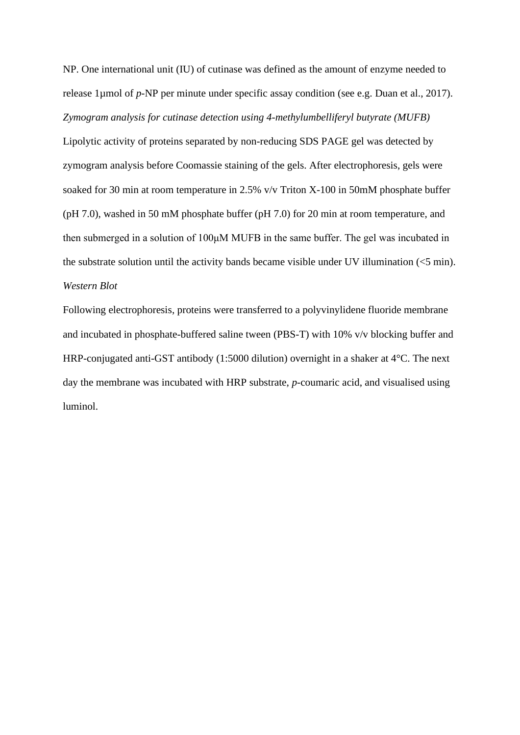NP. One international unit (IU) of cutinase was defined as the amount of enzyme needed to release 1µmol of *p*-NP per minute under specific assay condition (see e.g. Duan et al., 2017). *Zymogram analysis for cutinase detection using 4-methylumbelliferyl butyrate (MUFB)* Lipolytic activity of proteins separated by non-reducing SDS PAGE gel was detected by zymogram analysis before Coomassie staining of the gels. After electrophoresis, gels were soaked for 30 min at room temperature in 2.5% v/v Triton X-100 in 50mM phosphate buffer (pH 7.0), washed in 50 mM phosphate buffer (pH 7.0) for 20 min at room temperature, and then submerged in a solution of 100μM MUFB in the same buffer. The gel was incubated in the substrate solution until the activity bands became visible under UV illumination (<5 min). *Western Blot*

Following electrophoresis, proteins were transferred to a polyvinylidene fluoride membrane and incubated in phosphate-buffered saline tween (PBS-T) with 10% v/v blocking buffer and HRP-conjugated anti-GST antibody (1:5000 dilution) overnight in a shaker at 4°C. The next day the membrane was incubated with HRP substrate, *p*-coumaric acid, and visualised using luminol.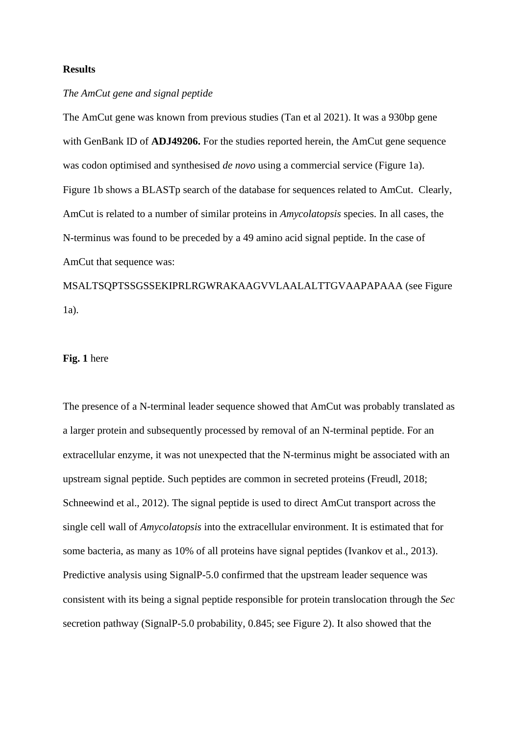#### **Results**

#### *The AmCut gene and signal peptide*

The AmCut gene was known from previous studies (Tan et al 2021). It was a 930bp gene with GenBank ID of **ADJ49206.** For the studies reported herein, the AmCut gene sequence was codon optimised and synthesised *de novo* using a commercial service (Figure 1a). Figure 1b shows a BLASTp search of the database for sequences related to AmCut. Clearly, AmCut is related to a number of similar proteins in *Amycolatopsis* species. In all cases, the N-terminus was found to be preceded by a 49 amino acid signal peptide. In the case of AmCut that sequence was:

MSALTSQPTSSGSSEKIPRLRGWRAKAAGVVLAALALTTGVAAPAPAAA (see Figure 1a).

#### **Fig. 1** here

The presence of a N-terminal leader sequence showed that AmCut was probably translated as a larger protein and subsequently processed by removal of an N-terminal peptide. For an extracellular enzyme, it was not unexpected that the N-terminus might be associated with an upstream signal peptide. Such peptides are common in secreted proteins (Freudl, 2018; Schneewind et al., 2012). The signal peptide is used to direct AmCut transport across the single cell wall of *Amycolatopsis* into the extracellular environment. It is estimated that for some bacteria, as many as 10% of all proteins have signal peptides (Ivankov et al., 2013). Predictive analysis using SignalP-5.0 confirmed that the upstream leader sequence was consistent with its being a signal peptide responsible for protein translocation through the *Sec* secretion pathway (SignalP-5.0 probability, 0.845; see Figure 2). It also showed that the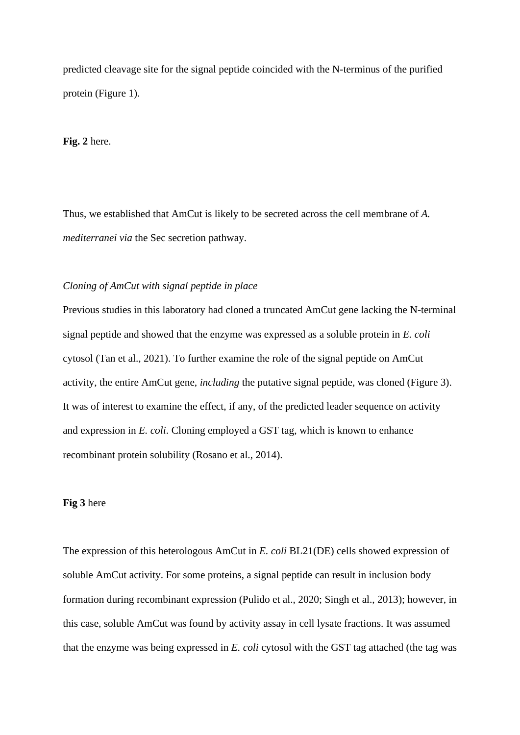predicted cleavage site for the signal peptide coincided with the N-terminus of the purified protein (Figure 1).

#### **Fig. 2** here.

Thus, we established that AmCut is likely to be secreted across the cell membrane of *A. mediterranei via* the Sec secretion pathway.

#### *Cloning of AmCut with signal peptide in place*

Previous studies in this laboratory had cloned a truncated AmCut gene lacking the N-terminal signal peptide and showed that the enzyme was expressed as a soluble protein in *E. coli* cytosol (Tan et al., 2021). To further examine the role of the signal peptide on AmCut activity, the entire AmCut gene, *including* the putative signal peptide, was cloned (Figure 3). It was of interest to examine the effect, if any, of the predicted leader sequence on activity and expression in *E. coli*. Cloning employed a GST tag, which is known to enhance recombinant protein solubility (Rosano et al., 2014).

#### **Fig 3** here

The expression of this heterologous AmCut in *E. coli* BL21(DE) cells showed expression of soluble AmCut activity. For some proteins, a signal peptide can result in inclusion body formation during recombinant expression (Pulido et al., 2020; Singh et al., 2013); however, in this case, soluble AmCut was found by activity assay in cell lysate fractions. It was assumed that the enzyme was being expressed in *E. coli* cytosol with the GST tag attached (the tag was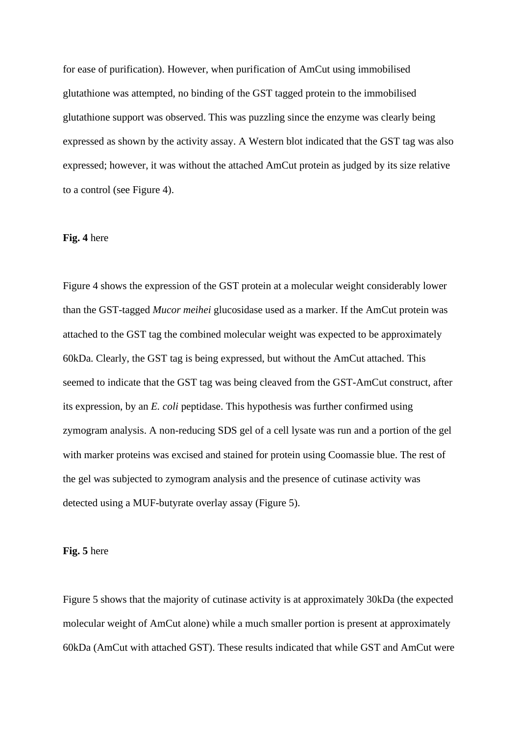for ease of purification). However, when purification of AmCut using immobilised glutathione was attempted, no binding of the GST tagged protein to the immobilised glutathione support was observed. This was puzzling since the enzyme was clearly being expressed as shown by the activity assay. A Western blot indicated that the GST tag was also expressed; however, it was without the attached AmCut protein as judged by its size relative to a control (see Figure 4).

#### **Fig. 4** here

Figure 4 shows the expression of the GST protein at a molecular weight considerably lower than the GST-tagged *Mucor meihei* glucosidase used as a marker. If the AmCut protein was attached to the GST tag the combined molecular weight was expected to be approximately 60kDa. Clearly, the GST tag is being expressed, but without the AmCut attached. This seemed to indicate that the GST tag was being cleaved from the GST-AmCut construct, after its expression, by an *E. coli* peptidase. This hypothesis was further confirmed using zymogram analysis. A non-reducing SDS gel of a cell lysate was run and a portion of the gel with marker proteins was excised and stained for protein using Coomassie blue. The rest of the gel was subjected to zymogram analysis and the presence of cutinase activity was detected using a MUF-butyrate overlay assay (Figure 5).

**Fig. 5** here

Figure 5 shows that the majority of cutinase activity is at approximately 30kDa (the expected molecular weight of AmCut alone) while a much smaller portion is present at approximately 60kDa (AmCut with attached GST). These results indicated that while GST and AmCut were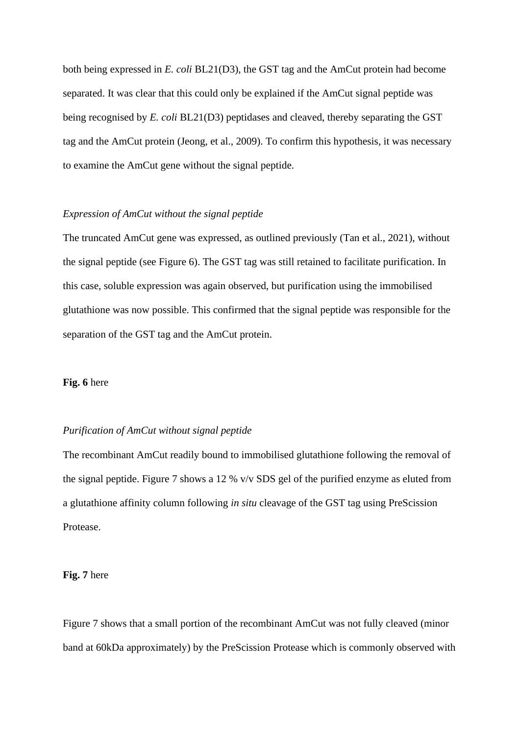both being expressed in *E. coli* BL21(D3), the GST tag and the AmCut protein had become separated. It was clear that this could only be explained if the AmCut signal peptide was being recognised by *E. coli* BL21(D3) peptidases and cleaved, thereby separating the GST tag and the AmCut protein (Jeong, et al., 2009). To confirm this hypothesis, it was necessary to examine the AmCut gene without the signal peptide.

#### *Expression of AmCut without the signal peptide*

The truncated AmCut gene was expressed, as outlined previously (Tan et al., 2021), without the signal peptide (see Figure 6). The GST tag was still retained to facilitate purification. In this case, soluble expression was again observed, but purification using the immobilised glutathione was now possible. This confirmed that the signal peptide was responsible for the separation of the GST tag and the AmCut protein.

#### **Fig. 6** here

#### *Purification of AmCut without signal peptide*

The recombinant AmCut readily bound to immobilised glutathione following the removal of the signal peptide. Figure 7 shows a 12 % v/v SDS gel of the purified enzyme as eluted from a glutathione affinity column following *in situ* cleavage of the GST tag using PreScission Protease.

#### **Fig. 7** here

Figure 7 shows that a small portion of the recombinant AmCut was not fully cleaved (minor band at 60kDa approximately) by the PreScission Protease which is commonly observed with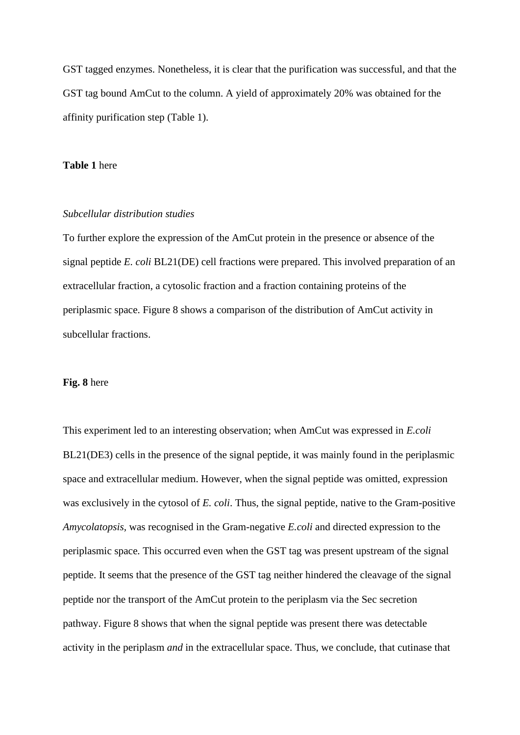GST tagged enzymes. Nonetheless, it is clear that the purification was successful, and that the GST tag bound AmCut to the column. A yield of approximately 20% was obtained for the affinity purification step (Table 1).

#### **Table 1** here

#### *Subcellular distribution studies*

To further explore the expression of the AmCut protein in the presence or absence of the signal peptide *E. coli* BL21(DE) cell fractions were prepared. This involved preparation of an extracellular fraction, a cytosolic fraction and a fraction containing proteins of the periplasmic space. Figure 8 shows a comparison of the distribution of AmCut activity in subcellular fractions.

#### **Fig. 8** here

This experiment led to an interesting observation; when AmCut was expressed in *E.coli* BL21(DE3) cells in the presence of the signal peptide, it was mainly found in the periplasmic space and extracellular medium. However, when the signal peptide was omitted, expression was exclusively in the cytosol of *E. coli*. Thus, the signal peptide, native to the Gram-positive *Amycolatopsis,* was recognised in the Gram-negative *E.coli* and directed expression to the periplasmic space*.* This occurred even when the GST tag was present upstream of the signal peptide. It seems that the presence of the GST tag neither hindered the cleavage of the signal peptide nor the transport of the AmCut protein to the periplasm via the Sec secretion pathway. Figure 8 shows that when the signal peptide was present there was detectable activity in the periplasm *and* in the extracellular space. Thus, we conclude, that cutinase that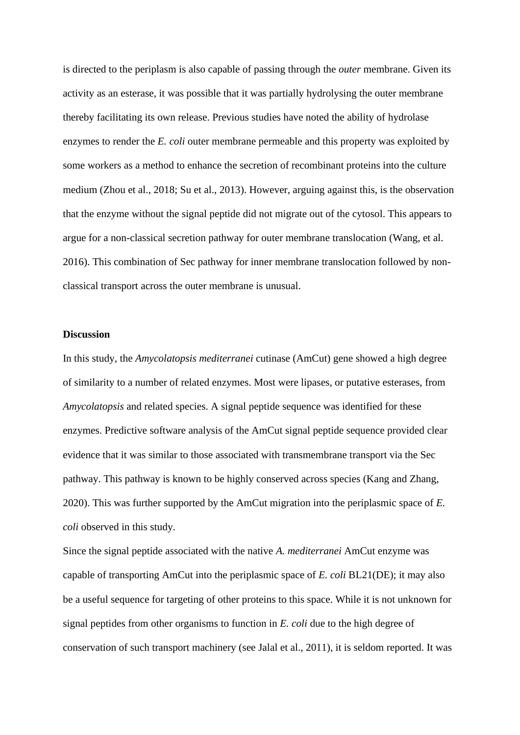is directed to the periplasm is also capable of passing through the *outer* membrane. Given its activity as an esterase, it was possible that it was partially hydrolysing the outer membrane thereby facilitating its own release. Previous studies have noted the ability of hydrolase enzymes to render the *E. coli* outer membrane permeable and this property was exploited by some workers as a method to enhance the secretion of recombinant proteins into the culture medium (Zhou et al., 2018; Su et al., 2013). However, arguing against this, is the observation that the enzyme without the signal peptide did not migrate out of the cytosol. This appears to argue for a non-classical secretion pathway for outer membrane translocation (Wang, et al. 2016). This combination of Sec pathway for inner membrane translocation followed by nonclassical transport across the outer membrane is unusual.

#### **Discussion**

In this study, the *Amycolatopsis mediterranei* cutinase (AmCut) gene showed a high degree of similarity to a number of related enzymes. Most were lipases, or putative esterases, from *Amycolatopsis* and related species. A signal peptide sequence was identified for these enzymes. Predictive software analysis of the AmCut signal peptide sequence provided clear evidence that it was similar to those associated with transmembrane transport via the Sec pathway. This pathway is known to be highly conserved across species (Kang and Zhang, 2020). This was further supported by the AmCut migration into the periplasmic space of *E. coli* observed in this study.

Since the signal peptide associated with the native *A. mediterranei* AmCut enzyme was capable of transporting AmCut into the periplasmic space of *E. coli* BL21(DE); it may also be a useful sequence for targeting of other proteins to this space. While it is not unknown for signal peptides from other organisms to function in *E. coli* due to the high degree of conservation of such transport machinery (see Jalal et al., 2011), it is seldom reported. It was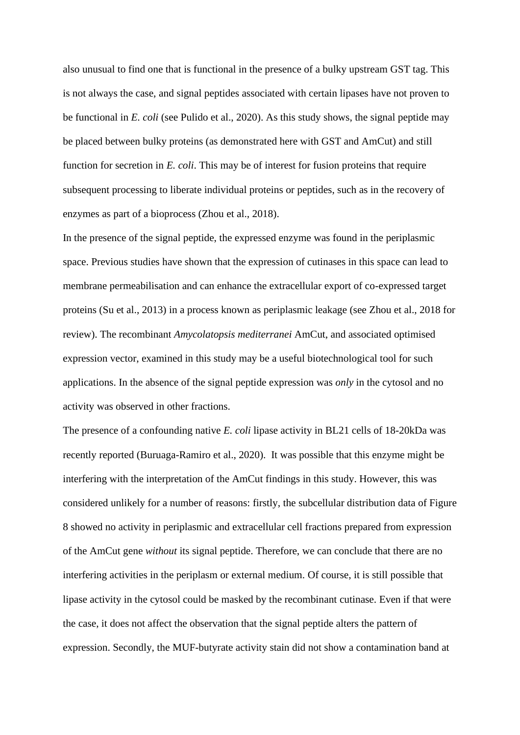also unusual to find one that is functional in the presence of a bulky upstream GST tag. This is not always the case, and signal peptides associated with certain lipases have not proven to be functional in *E. coli* (see Pulido et al., 2020). As this study shows, the signal peptide may be placed between bulky proteins (as demonstrated here with GST and AmCut) and still function for secretion in *E. coli*. This may be of interest for fusion proteins that require subsequent processing to liberate individual proteins or peptides, such as in the recovery of enzymes as part of a bioprocess (Zhou et al., 2018).

In the presence of the signal peptide, the expressed enzyme was found in the periplasmic space. Previous studies have shown that the expression of cutinases in this space can lead to membrane permeabilisation and can enhance the extracellular export of co-expressed target proteins (Su et al., 2013) in a process known as periplasmic leakage (see Zhou et al., 2018 for review). The recombinant *Amycolatopsis mediterranei* AmCut, and associated optimised expression vector, examined in this study may be a useful biotechnological tool for such applications. In the absence of the signal peptide expression was *only* in the cytosol and no activity was observed in other fractions.

The presence of a confounding native *E. coli* lipase activity in BL21 cells of 18-20kDa was recently reported (Buruaga-Ramiro et al., 2020). It was possible that this enzyme might be interfering with the interpretation of the AmCut findings in this study. However, this was considered unlikely for a number of reasons: firstly, the subcellular distribution data of Figure 8 showed no activity in periplasmic and extracellular cell fractions prepared from expression of the AmCut gene *without* its signal peptide. Therefore, we can conclude that there are no interfering activities in the periplasm or external medium. Of course, it is still possible that lipase activity in the cytosol could be masked by the recombinant cutinase. Even if that were the case, it does not affect the observation that the signal peptide alters the pattern of expression. Secondly, the MUF-butyrate activity stain did not show a contamination band at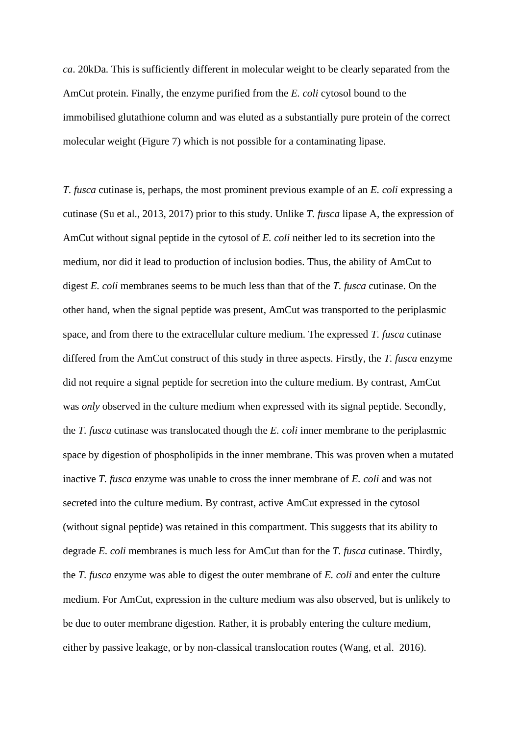*ca*. 20kDa. This is sufficiently different in molecular weight to be clearly separated from the AmCut protein. Finally, the enzyme purified from the *E. coli* cytosol bound to the immobilised glutathione column and was eluted as a substantially pure protein of the correct molecular weight (Figure 7) which is not possible for a contaminating lipase.

*T. fusca* cutinase is, perhaps, the most prominent previous example of an *E. coli* expressing a cutinase (Su et al., 2013, 2017) prior to this study. Unlike *T. fusca* lipase A, the expression of AmCut without signal peptide in the cytosol of *E. coli* neither led to its secretion into the medium, nor did it lead to production of inclusion bodies. Thus, the ability of AmCut to digest *E. coli* membranes seems to be much less than that of the *T. fusca* cutinase. On the other hand, when the signal peptide was present, AmCut was transported to the periplasmic space, and from there to the extracellular culture medium. The expressed *T. fusca* cutinase differed from the AmCut construct of this study in three aspects. Firstly, the *T. fusca* enzyme did not require a signal peptide for secretion into the culture medium. By contrast, AmCut was *only* observed in the culture medium when expressed with its signal peptide. Secondly, the *T. fusca* cutinase was translocated though the *E. coli* inner membrane to the periplasmic space by digestion of phospholipids in the inner membrane. This was proven when a mutated inactive *T. fusca* enzyme was unable to cross the inner membrane of *E. coli* and was not secreted into the culture medium. By contrast, active AmCut expressed in the cytosol (without signal peptide) was retained in this compartment. This suggests that its ability to degrade *E. coli* membranes is much less for AmCut than for the *T. fusca* cutinase. Thirdly, the *T. fusca* enzyme was able to digest the outer membrane of *E. coli* and enter the culture medium. For AmCut, expression in the culture medium was also observed, but is unlikely to be due to outer membrane digestion. Rather, it is probably entering the culture medium, either by passive leakage, or by non-classical translocation routes (Wang, et al. 2016).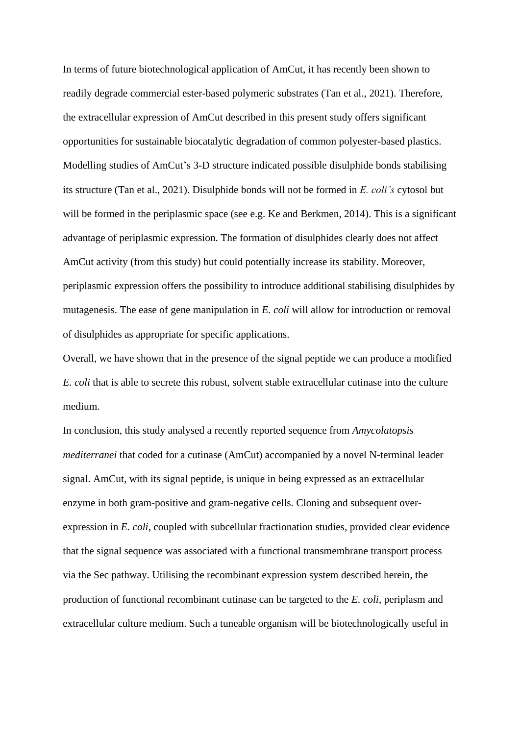In terms of future biotechnological application of AmCut, it has recently been shown to readily degrade commercial ester-based polymeric substrates (Tan et al., 2021). Therefore, the extracellular expression of AmCut described in this present study offers significant opportunities for sustainable biocatalytic degradation of common polyester-based plastics. Modelling studies of AmCut's 3-D structure indicated possible disulphide bonds stabilising its structure (Tan et al., 2021). Disulphide bonds will not be formed in *E. coli's* cytosol but will be formed in the periplasmic space (see e.g. Ke and Berkmen, 2014). This is a significant advantage of periplasmic expression. The formation of disulphides clearly does not affect AmCut activity (from this study) but could potentially increase its stability. Moreover, periplasmic expression offers the possibility to introduce additional stabilising disulphides by mutagenesis. The ease of gene manipulation in *E. coli* will allow for introduction or removal of disulphides as appropriate for specific applications.

Overall, we have shown that in the presence of the signal peptide we can produce a modified *E. coli* that is able to secrete this robust, solvent stable extracellular cutinase into the culture medium.

In conclusion, this study analysed a recently reported sequence from *Amycolatopsis mediterranei* that coded for a cutinase (AmCut) accompanied by a novel N-terminal leader signal. AmCut, with its signal peptide, is unique in being expressed as an extracellular enzyme in both gram-positive and gram-negative cells. Cloning and subsequent overexpression in *E. coli*, coupled with subcellular fractionation studies, provided clear evidence that the signal sequence was associated with a functional transmembrane transport process via the Sec pathway. Utilising the recombinant expression system described herein, the production of functional recombinant cutinase can be targeted to the *E. coli*, periplasm and extracellular culture medium. Such a tuneable organism will be biotechnologically useful in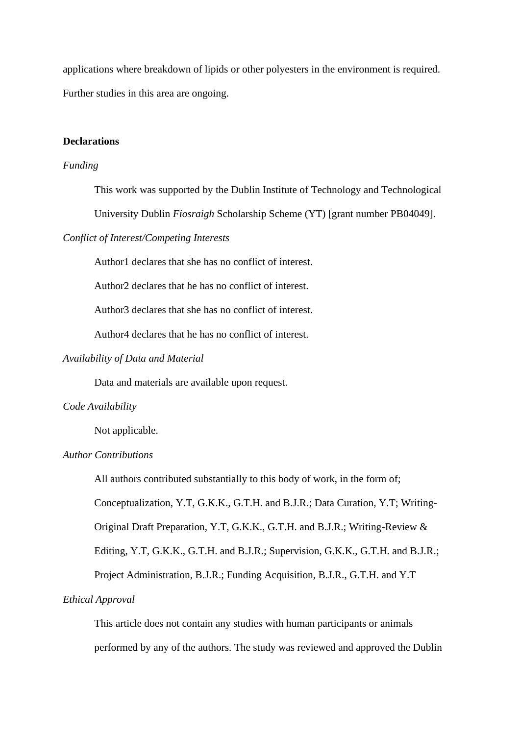applications where breakdown of lipids or other polyesters in the environment is required. Further studies in this area are ongoing.

#### **Declarations**

#### *Funding*

This work was supported by the Dublin Institute of Technology and Technological

University Dublin *Fiosraigh* Scholarship Scheme (YT) [grant number PB04049].

#### *Conflict of Interest/Competing Interests*

Author1 declares that she has no conflict of interest.

Author2 declares that he has no conflict of interest.

Author3 declares that she has no conflict of interest.

Author4 declares that he has no conflict of interest.

#### *Availability of Data and Material*

Data and materials are available upon request.

#### *Code Availability*

Not applicable.

### *Author Contributions*

All authors contributed substantially to this body of work, in the form of;

Conceptualization, Y.T, G.K.K., G.T.H. and B.J.R.; Data Curation, Y.T; Writing-

Original Draft Preparation, Y.T, G.K.K., G.T.H. and B.J.R.; Writing-Review &

Editing, Y.T, G.K.K., G.T.H. and B.J.R.; Supervision, G.K.K., G.T.H. and B.J.R.;

Project Administration, B.J.R.; Funding Acquisition, B.J.R., G.T.H. and Y.T

#### *Ethical Approval*

This article does not contain any studies with human participants or animals performed by any of the authors. The study was reviewed and approved the Dublin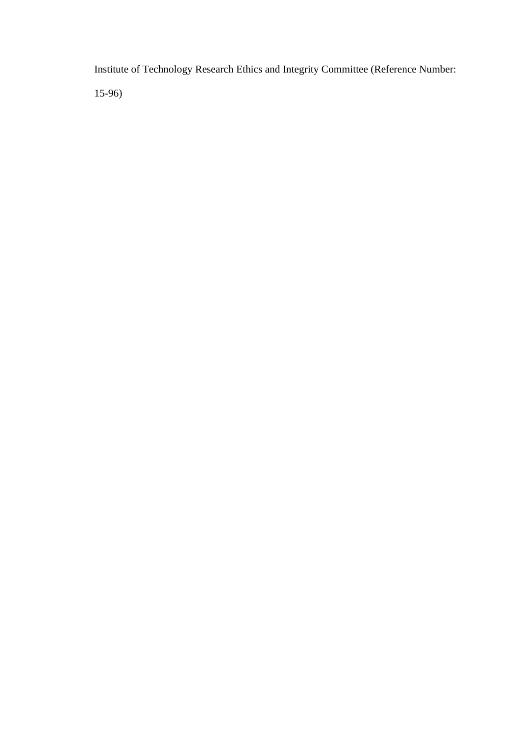Institute of Technology Research Ethics and Integrity Committee (Reference Number: 15-96)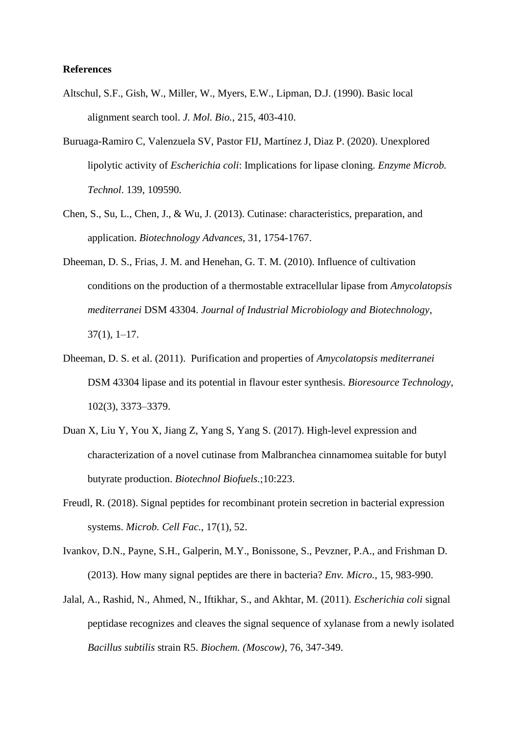#### **References**

- Altschul, S.F., Gish, W., Miller, W., Myers, E.W., Lipman, D.J. (1990). Basic local alignment search tool. *J. Mol. Bio.*, 215, 403-410.
- Buruaga-Ramiro C, Valenzuela SV, Pastor FIJ, Martínez J, Diaz P. (2020). Unexplored lipolytic activity of *Escherichia coli*: Implications for lipase cloning. *Enzyme Microb. Technol*. 139, 109590.
- Chen, S., Su, L., Chen, J., & Wu, J. (2013). Cutinase: characteristics, preparation, and application. *Biotechnology Advances*, 31, 1754-1767.
- Dheeman, D. S., Frias, J. M. and Henehan, G. T. M. (2010). Influence of cultivation conditions on the production of a thermostable extracellular lipase from *Amycolatopsis mediterranei* DSM 43304. *Journal of Industrial Microbiology and Biotechnology*, 37(1), 1–17.
- Dheeman, D. S. et al. (2011). Purification and properties of *Amycolatopsis mediterranei*  DSM 43304 lipase and its potential in flavour ester synthesis. *Bioresource Technology*, 102(3), 3373–3379.
- Duan X, Liu Y, You X, Jiang Z, Yang S, Yang S. (2017). High-level expression and characterization of a novel cutinase from Malbranchea cinnamomea suitable for butyl butyrate production. *Biotechnol Biofuels.*;10:223.
- Freudl, R. (2018). Signal peptides for recombinant protein secretion in bacterial expression systems. *Microb. Cell Fac.*, 17(1), 52.
- Ivankov, D.N., Payne, S.H., Galperin, M.Y., Bonissone, S., Pevzner, P.A., and Frishman D. (2013). How many signal peptides are there in bacteria? *Env. Micro.*, 15, 983-990.
- Jalal, A., Rashid, N., Ahmed, N., Iftikhar, S., and Akhtar, M. (2011). *Escherichia coli* signal peptidase recognizes and cleaves the signal sequence of xylanase from a newly isolated *Bacillus subtilis* strain R5. *Biochem. (Moscow)*, 76, 347-349.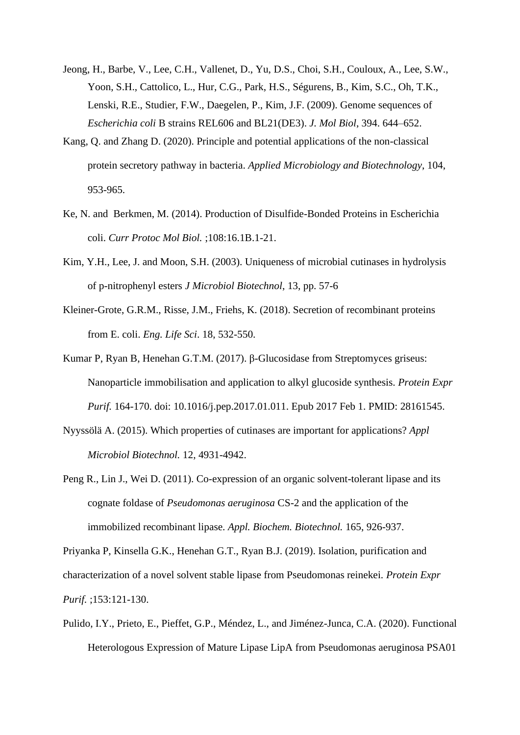- Jeong, H., Barbe, V., Lee, C.H., Vallenet, D., Yu, D.S., Choi, S.H., Couloux, A., Lee, S.W., Yoon, S.H., Cattolico, L., Hur, C.G., Park, H.S., Ségurens, B., Kim, S.C., Oh, T.K., Lenski, R.E., Studier, F.W., Daegelen, P., Kim, J.F. (2009). Genome sequences of *Escherichia coli* B strains REL606 and BL21(DE3). *J. Mol Biol*, 394. 644–652.
- Kang, Q. and Zhang D. (2020). Principle and potential applications of the non-classical protein secretory pathway in bacteria. *Applied Microbiology and Biotechnology*, 104, 953-965.
- Ke, N. and Berkmen, M. (2014). Production of Disulfide-Bonded Proteins in Escherichia coli. *Curr Protoc Mol Biol.* ;108:16.1B.1-21.
- Kim, Y.H., Lee, J. and Moon, S.H. (2003). Uniqueness of microbial cutinases in hydrolysis of p-nitrophenyl esters *J Microbiol Biotechnol*, 13, pp. 57-6
- Kleiner-Grote, G.R.M., Risse, J.M., Friehs, K. (2018). Secretion of recombinant proteins from E. coli. *Eng. Life Sci*. 18, 532-550.
- Kumar P, Ryan B, Henehan G.T.M. (2017). β-Glucosidase from Streptomyces griseus: Nanoparticle immobilisation and application to alkyl glucoside synthesis. *Protein Expr Purif.* 164-170. doi: 10.1016/j.pep.2017.01.011. Epub 2017 Feb 1. PMID: 28161545.
- Nyyssölä A. (2015). Which properties of cutinases are important for applications? *Appl Microbiol Biotechnol.* 12, 4931-4942.
- Peng R., Lin J., Wei D. (2011). Co-expression of an organic solvent-tolerant lipase and its cognate foldase of *Pseudomonas aeruginosa* CS-2 and the application of the immobilized recombinant lipase. *Appl. Biochem. Biotechnol.* 165, 926-937.

Priyanka P, Kinsella G.K., Henehan G.T., Ryan B.J. (2019). Isolation, purification and characterization of a novel solvent stable lipase from Pseudomonas reinekei. *Protein Expr Purif.* ;153:121-130.

Pulido, I.Y., Prieto, E., Pieffet, G.P., Méndez, L., and Jiménez-Junca, C.A. (2020). Functional Heterologous Expression of Mature Lipase LipA from Pseudomonas aeruginosa PSA01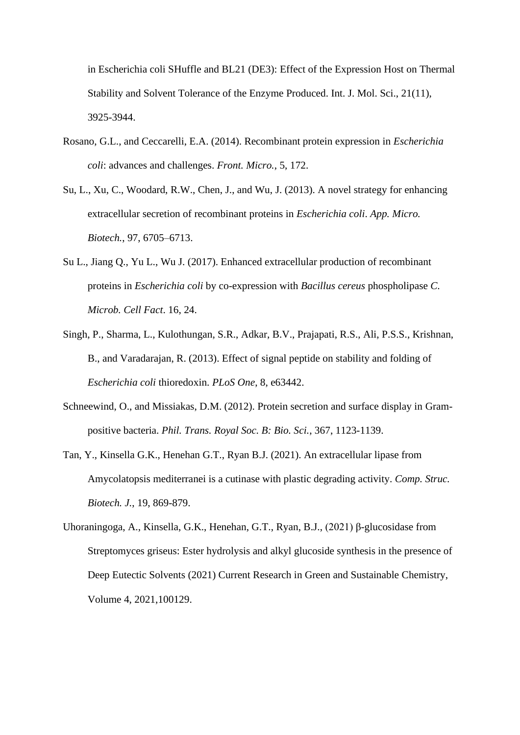in Escherichia coli SHuffle and BL21 (DE3): Effect of the Expression Host on Thermal Stability and Solvent Tolerance of the Enzyme Produced. Int. J. Mol. Sci., 21(11), 3925-3944.

- Rosano, G.L., and Ceccarelli, E.A. (2014). Recombinant protein expression in *Escherichia coli*: advances and challenges. *Front. Micro.*, 5, 172.
- Su, L., Xu, C., Woodard, R.W., Chen, J., and Wu, J. (2013). A novel strategy for enhancing extracellular secretion of recombinant proteins in *Escherichia coli*. *App. Micro. Biotech.*, 97, 6705–6713.
- Su L., Jiang Q., Yu L., Wu J. (2017). Enhanced extracellular production of recombinant proteins in *Escherichia coli* by co-expression with *Bacillus cereus* phospholipase *C. Microb. Cell Fact*. 16, 24.
- Singh, P., Sharma, L., Kulothungan, S.R., Adkar, B.V., Prajapati, R.S., Ali, P.S.S., Krishnan, B., and Varadarajan, R. (2013). Effect of signal peptide on stability and folding of *Escherichia coli* thioredoxin. *PLoS One*, 8, e63442.
- Schneewind, O., and Missiakas, D.M. (2012). Protein secretion and surface display in Grampositive bacteria. *Phil. Trans. Royal Soc. B: Bio. Sci.*, 367, 1123-1139.
- Tan, Y., Kinsella G.K., Henehan G.T., Ryan B.J. (2021). An extracellular lipase from Amycolatopsis mediterranei is a cutinase with plastic degrading activity. *Comp. Struc. Biotech. J.*, 19, 869-879.
- Uhoraningoga, A., Kinsella, G.K., Henehan, G.T., Ryan, B.J., (2021) β-glucosidase from Streptomyces griseus: Ester hydrolysis and alkyl glucoside synthesis in the presence of Deep Eutectic Solvents (2021) Current Research in Green and Sustainable Chemistry, Volume 4, 2021,100129.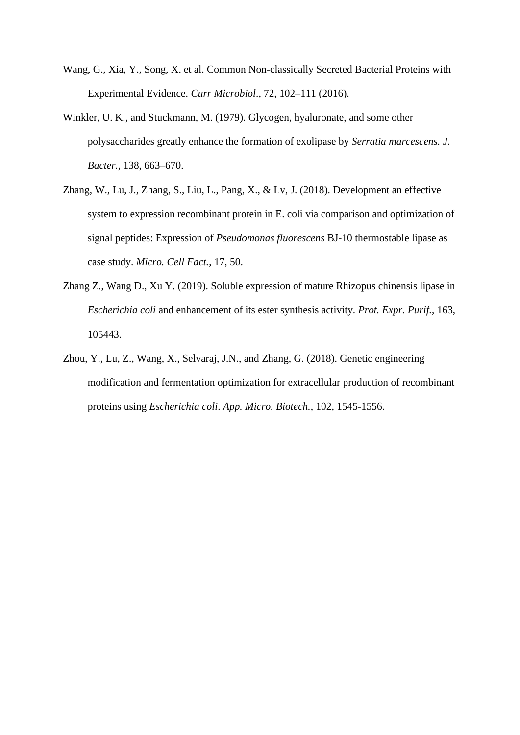- Wang, G., Xia, Y., Song, X. et al. Common Non-classically Secreted Bacterial Proteins with Experimental Evidence. *Curr Microbiol*., 72, 102–111 (2016).
- Winkler, U. K., and Stuckmann, M. (1979). Glycogen, hyaluronate, and some other polysaccharides greatly enhance the formation of exolipase by *Serratia marcescens. J. Bacter.*, 138, 663–670.
- Zhang, W., Lu, J., Zhang, S., Liu, L., Pang, X., & Lv, J. (2018). Development an effective system to expression recombinant protein in E. coli via comparison and optimization of signal peptides: Expression of *Pseudomonas fluorescens* BJ-10 thermostable lipase as case study. *Micro. Cell Fact.*, 17, 50.
- Zhang Z., Wang D., Xu Y. (2019). Soluble expression of mature Rhizopus chinensis lipase in *Escherichia coli* and enhancement of its ester synthesis activity. *Prot. Expr. Purif.*, 163, 105443.
- Zhou, Y., Lu, Z., Wang, X., Selvaraj, J.N., and Zhang, G. (2018). Genetic engineering modification and fermentation optimization for extracellular production of recombinant proteins using *Escherichia coli*. *App. Micro. Biotech.*, 102, 1545-1556.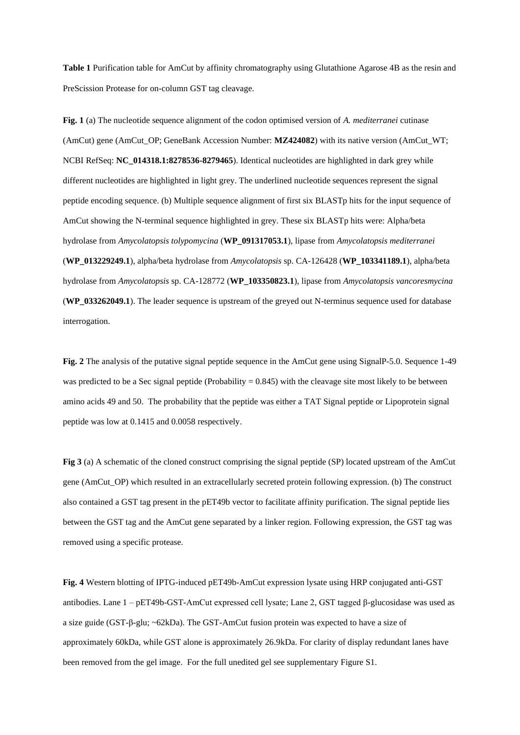**Table 1** Purification table for AmCut by affinity chromatography using Glutathione Agarose 4B as the resin and PreScission Protease for on-column GST tag cleavage.

**Fig. 1** (a) The nucleotide sequence alignment of the codon optimised version of *A. mediterranei* cutinase (AmCut) gene (AmCut\_OP; GeneBank Accession Number: **MZ424082**) with its native version (AmCut\_WT; NCBI RefSeq: **NC\_014318.1:8278536-8279465**). Identical nucleotides are highlighted in dark grey while different nucleotides are highlighted in light grey. The underlined nucleotide sequences represent the signal peptide encoding sequence. (b) Multiple sequence alignment of first six BLASTp hits for the input sequence of AmCut showing the N-terminal sequence highlighted in grey. These six BLASTp hits were: Alpha/beta hydrolase from *Amycolatopsis tolypomycina* (**WP\_091317053.1**), lipase from *Amycolatopsis mediterranei* (**WP\_013229249.1**), alpha/beta hydrolase from *Amycolatopsis* sp. CA-126428 (**WP\_103341189.1**), alpha/beta hydrolase from *Amycolatopsis* sp. CA-128772 (**WP\_103350823.1**), lipase from *Amycolatopsis vancoresmycina* (**WP\_033262049.1**). The leader sequence is upstream of the greyed out N-terminus sequence used for database interrogation.

**Fig. 2** The analysis of the putative signal peptide sequence in the AmCut gene using SignalP-5.0. Sequence 1-49 was predicted to be a Sec signal peptide (Probability  $= 0.845$ ) with the cleavage site most likely to be between amino acids 49 and 50. The probability that the peptide was either a TAT Signal peptide or Lipoprotein signal peptide was low at 0.1415 and 0.0058 respectively.

**Fig 3** (a) A schematic of the cloned construct comprising the signal peptide (SP) located upstream of the AmCut gene (AmCut\_OP) which resulted in an extracellularly secreted protein following expression. (b) The construct also contained a GST tag present in the pET49b vector to facilitate affinity purification. The signal peptide lies between the GST tag and the AmCut gene separated by a linker region. Following expression, the GST tag was removed using a specific protease.

**Fig. 4** Western blotting of IPTG-induced pET49b-AmCut expression lysate using HRP conjugated anti-GST antibodies. Lane 1 – pET49b-GST-AmCut expressed cell lysate; Lane 2, GST tagged β-glucosidase was used as a size guide (GST-β-glu; ~62kDa). The GST-AmCut fusion protein was expected to have a size of approximately 60kDa, while GST alone is approximately 26.9kDa. For clarity of display redundant lanes have been removed from the gel image. For the full unedited gel see supplementary Figure S1.